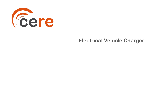

## **Electrical Vehicle Charger**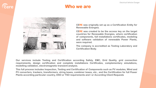

### **Who we are**



**CERE was originally set up as a Certification Entity for Renewable Energies.**

**CERE was created to be the access key on the target countries for Renewable Energies, where certification of components, full installations certificates, modeling and software validation of renewable Power Plants, were required.**

**The company is accredited as Testing Laboratory and Certification Body.**

**Our services include Testing and Certification according Safety, EMC, Grid Quality, grid connection requirements, design certification and complete installations Certificates, complementary simulations, modelling validation, electromagnetic transient analysis.**

**This full process includes Inspection, Testing and Certification of Components such as PV modules, Wind and PV converters, trackers, transformers, string boxes, combiner boxes, etc., and the Certification for full Power Plants according particular country, DSO or TSO requirements and / or According Client Requests**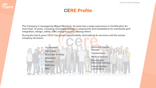### **CERE Profile**

**The Company is managed by Miguel Martínez. Its team has a large experience in Certification for more than 10 years, including renewable energy's components and installations for worldwide grid integration, design, safety, EMC and grid quality, among others.**

**During the last 6 years CERE has grown exponentially, diversifying its services until the actual company structure:**

- **Certification** • **Converters**
- **Grid Code & safety**
- **Simulation**
- **Trackers**
- **Batteries**
- **EMC**

**Eere** 

- **Electrical Vehicle Charger**
- **Transformers**
- **Medical devices**
- **Electric and Electronic devices**
- **Quality System certification**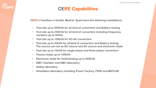### **CERE Capabilities**

**CERE's Facilities in Getafe, Madrid, Spain have the following installations:**

- **Test site up to 500kVA for all kind of converters and Battery testing**
- **Test site up to 250kVA for all kind of converters including frequency variators up to 400Hz**
- **Test site up to 100kVA for DC-AC converters**
- **Test site up to 50kVA for all kind of converters and Battery testing. The source can act as DC source and AC source and electronic loads**
- **Test site up to 10kVA for single phase and three phase converters**
- **Passive loads up to 100kVA**
- **Electronic loads for Antiislanding up to 500kVA**
- **EMC Chamber and EMC laboratory**
- **Safety laboratory**

**Eere** 

• **Simulation laboratory including Power Factory, PSSE and MATLAB**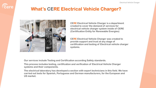

## **What's CERE Electrical Vehicle Charger?**



**CERE Electrical Vehicle Charger is a department created to cover the demand of services for electrical vehicle charger system inside of CERE (Certification Entity for Renewable Energies)**

**CERE Electrical Vehicle Charger was created to provide support and trust at any stage of certification and testing of Electrical vehicle charger systems.**

**Our services include Testing and Certification according Safety standards.**

**This process includes testing, certification and verification of Electrical Vehicle Charger systems and their components.**

**The electrical laboratory has developed a section with expert technicians in this field. We have carried out tests for Spanish, Portuguese and German manufacturers, for the European and US market.**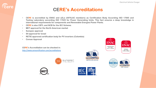### **CERE's Accreditations**

- **CERE is accredited by ENAC and a2La (IAF/ILAC members) as Certification Body According ISO 17065 and Testing Laboratory according ISO 17025 for Power Generating Units. This fact ensures a deep knowledge in international requirements for components and Renewable Energies Power Plants.**
- **CERE is also CBTL and NCB for the IEC Scheme.**
- **MET approval for the North American market**
- **Sunspec approval**
- **SII approval for Israel**
- **RETIE approved certification body for PV inverters (Colombia)**
- **Corean Approval**

**CERE's Accreditation can be checked in:** <http://www.cerecertification.com/accreditations>



**ACCREDITED** CERTIFICATE #5314.03











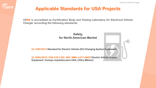

### **Applicable Standards for USA Projects**

**CERE is accredited as Certification Body and Testing Laboratory for Electrical Vehicle Charger according the following standards:**

> **Safety, for North American Market**

**UL 2202:2012 Standard for Electric Vehicle (EV) Charging System Equipment**

**UL 2594:2016 / CSA C22.2 NO. 280 / NMX-J-677-ANCE Electric Vehicle Supply Equipment. (Incluye requisitos para USA, CAN y México)**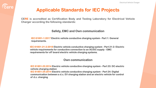

### **Applicable Standards for IEC Projects**

**CERE is accredited as Certification Body and Testing Laboratory for Electrical Vehicle Charger according the following standards:**

### **Safety, EMC and Own communication**

**IEC 61851-1:2017 Electric vehicle conductive charging system - Part 1: General requirements.**

**IEC 61851-21-2:2018 Electric vehicle conductive charging system - Part 21-2: Electric vehicle requirements for conductive connection to an AC/DC supply - EMC requirements for off board electric vehicle charging systems.**

#### **Own communication**

**IEC 61851-23:2014 Electric vehicle conductive charging system - Part 23: DC electric vehicle charging station**

**IEC 61851-24:2014 Electric vehicle conductive charging system - Part 24: Digital communication between a d.c. EV charging station and an electric vehicle for control of d.c. charging**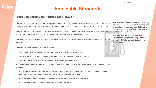### **Applicable Standards**

### **Scope according standard 61851-1:2017**

This part of IEC 61851 applies to EV supply equipment for charging electric road vehicles, with a rated supply voltage up to 1 000 V AC or up to 1 500 V DC. and a rated output voltage up to 1000 V AC. or up to 1500 V DC.

**Electric road vehicles (EV) cover all road vehicles, including plug-in hybrid road vehicles (PHEV), that derive all or part of their energy from on-board rechargeable energy storage systems (RESS).**

**This standard also applies to EV supply equipment supplied from on-site storage systems (e.g., buffer batteries).**

**The aspects covered in this standard include:**

- ✓ **The characteristics and operating conditions of the EV supply equipment**
- ✓ **The specification of the connection between the EV supply equipment and the EV**
- ✓ **The requirements for electrical safety for the EV supply equipment.**

**Additional requirements may apply to equipment designed for specific environments or conditions, for example:**

- ✓ **EV supply equipment located in hazardous areas where flammable gas or vapour and/or combustible materials, fuels or other combustible, or explosive materials are present.**
- ✓ **EV supply equipment designed to be installed at an altitude of more than 2000 m**
- ✓ **EV supply equipment intended to be used on board on ships**

**The IEC 61851 series covers all EV supply equipment except for in-cable control and protection devices for mode 2 charging of electric road vehicles (IC-CPD) which are covered by IEC 62752.**

**The tests are carried out by CERE Laboratory, and test can be performed either at the client's facilities or in our laboratory.**

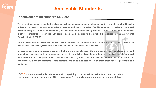# *<u>Cere</u>*

## **Applicable Standards**

#### **Scope according standard UL 2202**

These requirements cover conductive charging system equipment intended to be supplied by a branch circuit of 600 volts or less for recharging the storage batteries in over-the-road electric vehicles (EV). The equipment includes off board and on board chargers. Off-board equipment may be considered for indoor use only or indoor/outdoor use. On board equipment is always considered outdoor use. Off board equipment is intended to be installed in accordance with the National **Electrical Code, NFPA 70.**

For the purposes of this standard, the term "electric vehicle", designated throughout by the initials "EV", is considered to **cover electric vehicles, hybrid electric vehicles, and plug-in versions of these vehicles.**

Electric vehicle charging system equipment that is not a complete assembly and depends upon installation in an end product for compliance with the requirements in this standard is investigated under the requirements of this standard and the standard for the end product. On board chargers that rely upon specific installation requirements within an EV for compliance with the requirements in this standard, are to be evaluated based on those installation requirements and **equipment.**

**CERE is the only available Laboratory with capability to perform this test in Spain and provide a certificate through our partner MET, recognized NRTL certification company in United States.**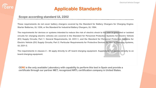## *<u>Cere</u>*

## **Applicable Standards**

#### **Scope according standard UL 2202**

These requirements do not cover battery chargers covered by the Standard for Battery Chargers for Charging Engine-**Starter Batteries, UL 1236, or the Standard for Industrial Battery Chargers, UL 1564.**

The requirements for devices or systems intended to reduce the risk of electric shock to the user in grounded or isolated circuits for charging electric vehicles are covered in the Standard for Personnel Protection Systems for Electric Vehicle (EV) Supply Circuits; Part 1: General Requirements, UL 2231-1, and the Standard for Personnel Protection Systems for Electric Vehicle (EV) Supply Circuits; Part 2: Particular Requirements for Protective Devices for Use in Charging Systems, **UL 2231-2.**

The requirements in clauses 2 – 84 apply directly to off board charging equipment. Supplement SA applies directly to on **board charging equipment.**

**CERE is the only available Laboratory with capability to perform this test in Spain and provide a certificate through our partner MET, recognized NRTL certification company in United States.**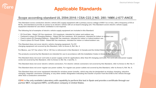## **Applicable Standards**

### **Scope according standard UL 2594:2016 / CSA C22.2 NO. 280 / NMX-J-677-ANCE**

**This Standard covers conductive electric vehicle (EV) supply equipment with a primary source voltage of 600 V ac or less, with a frequency of 50 or 60 Hz, and intended to provide ac power to an electric vehicle with an on-board charging unit. This Standard covers electric vehicle supply equipment intended for use where ventilation is not required.**

**The following list of examples of electric vehicle supply equipment are included in this Standard:**

✓ **EV Cord Sets – Rated 125 Vac maximum, 16 A maximum, intended for indoor and outdoor use.**

✓ **Fastened in place EV Charging Stations – Rated 250 Vac maximum, 40 A maximum, intended for indoor or outdoor use.**

✓ **Fixed in place EV Charging Stations – Rated 600 Vac maximum, intended for indoor or indoor/outdoor use.**

✓ **Fixed in place EV Power Outlet – Rated 600 Vac maximum, intended for indoor or indoor/outdoor use.**

**This Standard does not cover electric vehicle charging equipment. For EV charging equipment not covered by this Standard, refer to Annex A, Ref. No. 4.**

**For Mexico, use 127 Vac where 120 or 125 Vac is referenced in this Standard. In Canada and the United States, this does not apply.**

**The products covered by this Standard are intended for use in accordance with the Installation Codes in Annex A, Ref. No.1.**

**This Standard does not cover cord sets or power supply cords for applications other than EV charging cord sets. For cord sets and power supply cords not covered by this Standard, refer to Annex A, Ref. No. 2 and No. 3.**

**This Standard does not cover electric vehicle connectors. For electric vehicle connectors not covered by this Standard, refer to Annex A, Ref. No. 5**

**This Standard does not cover regular-use power outlets. For regular-use power outlets not covered by this Standard, refer to Annex A, Ref. No. 6.**

**This Standard does not cover equipment intended for wireless power transfer, which may also be designated as wireless charging, inductive charging, magnetic resonance charging, or any other similar designation indicating the transfer of power from the EVSE to the vehicle through other than a conductive connection.**

**CERE is the only available Laboratory with capability to perform this test in Spain and provide a certificate through our partner MET, recognized NRTL certification company in United States.**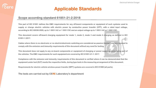## **Sere**

## **Applicable Standards**

#### **Scope according standard 61851-21-2:2018**

This part of IEC 61851 defines the EMC requirements for any off-board components or equipment of such systems used to supply or charge electric vehicles with electric power by conductive power transfer (CPT), with a rated input voltage, according to IEC 60038:2009, up to 1 000 V AC or 1 500 V DC and an output voltage up to 1 000 V AC or 1 500 V DC.

This document covers off-board charging equipment for mode 1, mode 2, mode 3 and mode 4 charging as defined in IEC **61851-1:2017.**

Cables where there is no electronic or no electric/electronic switching are considered as passive (benign) and are deemed to **comply with the emission and immunity requirements of this document without any need for testing.**

This document does not apply to any on-board components or equipment of charging or power supply systems being part of **the vehicles. The EMC requirements for such equipment are covered by IEC 61851-21-1: 2017.**

Compliance with the emission and immunity requirements of this document is verified where it can be demonstrated that the equipment under test (EUT) meets the respective limits, during type tests in the measuring arrangement of this document.

**Requirements for electric vehicle wireless power transfer (WPT) systems are covered in IEC 61980 (all parts).**

**The tests are carried out by CERE Laboratory's department**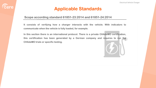

### **Applicable Standards**

#### **Scope according standard 61851-23:2014 and 61851-24:2014**

**It consists of verifying how a charger interacts with the vehicle. With indicators to communicate when the vehicle is fully loaded, for example.**

**In this section there is an international protocol. There is a private CHAdeMO certification, this certification has been generated by a German company and requires to run the CHAdeMO trials or specific testing.**

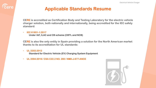## **Eere**

### **Applicable Standards Resume**

**CERE is accredited as Certification Body and Testing Laboratory for the electric vehicle charger solution, both nationally and internationally, being accredited for the IEC safety standard:**

#### • **IEC 61851-1:2017**

**Under IAF, ILAC and CB scheme (CBTL and NCB)**

**CERE is also the only entity in Spain providing a solution for the North American market thanks to its accreditation for UL standards:** 

#### • **UL 2202:2012 Standard for Electric Vehicle (EV) Charging System Equipment**

• **UL 2594:2016 / CSA C22.2 NO. 280 / NMX-J-677-ANCE**

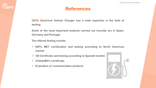## **Eere**

### **References**

**CERE Electrical Vehicle Charger has a wide expertise in the field of testing.**

**Some of the most important projects carried out recently are in Spain, Germany and Portugal.**

**The offered testing include:**

- ✓ **NRTL MET certification and testing according to North American market.**
- ✓ **CB Certificate and testing according to Spanish market.**
- ✓ **CHAdeMO's certificate.**
- ✓ **Evaluation of communication protocol.**

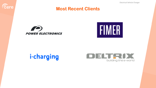Electrical Vehicle Charger



### **Most Recent Clients**





# i-charging

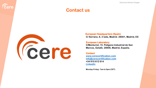### **Contact us**



**Eere** 

**European Headquarters (Spain) C/ Serrano, 8, 3 Izda, Madrid. 28001, Madrid, ES**

**European Laboratory C/Monturiol, 15. Polígono Industrial de San Marcos, Getafe. 28906, Madrid, España.**

#### **Contact**

**[www.cerecertification.com](http://www.cerecertification.com/) [info@cerecertification.com](mailto:info@cerecertification.com) +34 910 612 614 [LinkedIn](https://www.linkedin.com/company/cere-industrial)**

**Monday-Friday: 7am to 6pm (CET)**